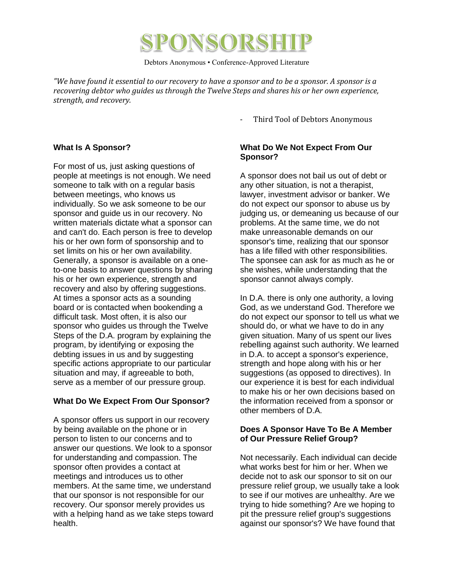

Debtors Anonymous • Conference-Approved Literature

*"We have found it essential to our recovery to have a sponsor and to be a sponsor. A sponsor is a recovering debtor who guides us through the Twelve Steps and shares his or her own experience, strength, and recovery.* 

Third Tool of Debtors Anonymous

## **What Is A Sponsor?**

For most of us, just asking questions of people at meetings is not enough. We need someone to talk with on a regular basis between meetings, who knows us individually. So we ask someone to be our sponsor and guide us in our recovery. No written materials dictate what a sponsor can and can't do. Each person is free to develop his or her own form of sponsorship and to set limits on his or her own availability. Generally, a sponsor is available on a oneto-one basis to answer questions by sharing his or her own experience, strength and recovery and also by offering suggestions. At times a sponsor acts as a sounding board or is contacted when bookending a difficult task. Most often, it is also our sponsor who guides us through the Twelve Steps of the D.A. program by explaining the program, by identifying or exposing the debting issues in us and by suggesting specific actions appropriate to our particular situation and may, if agreeable to both, serve as a member of our pressure group.

# **What Do We Expect From Our Sponsor?**

A sponsor offers us support in our recovery by being available on the phone or in person to listen to our concerns and to answer our questions. We look to a sponsor for understanding and compassion. The sponsor often provides a contact at meetings and introduces us to other members. At the same time, we understand that our sponsor is not responsible for our recovery. Our sponsor merely provides us with a helping hand as we take steps toward health.

## **What Do We Not Expect From Our Sponsor?**

A sponsor does not bail us out of debt or any other situation, is not a therapist, lawyer, investment advisor or banker. We do not expect our sponsor to abuse us by judging us, or demeaning us because of our problems. At the same time, we do not make unreasonable demands on our sponsor's time, realizing that our sponsor has a life filled with other responsibilities. The sponsee can ask for as much as he or she wishes, while understanding that the sponsor cannot always comply.

In D.A. there is only one authority, a loving God, as we understand God. Therefore we do not expect our sponsor to tell us what we should do, or what we have to do in any given situation. Many of us spent our lives rebelling against such authority. We learned in D.A. to accept a sponsor's experience, strength and hope along with his or her suggestions (as opposed to directives). In our experience it is best for each individual to make his or her own decisions based on the information received from a sponsor or other members of D.A.

### **Does A Sponsor Have To Be A Member of Our Pressure Relief Group?**

Not necessarily. Each individual can decide what works best for him or her. When we decide not to ask our sponsor to sit on our pressure relief group, we usually take a look to see if our motives are unhealthy. Are we trying to hide something? Are we hoping to pit the pressure relief group's suggestions against our sponsor's? We have found that